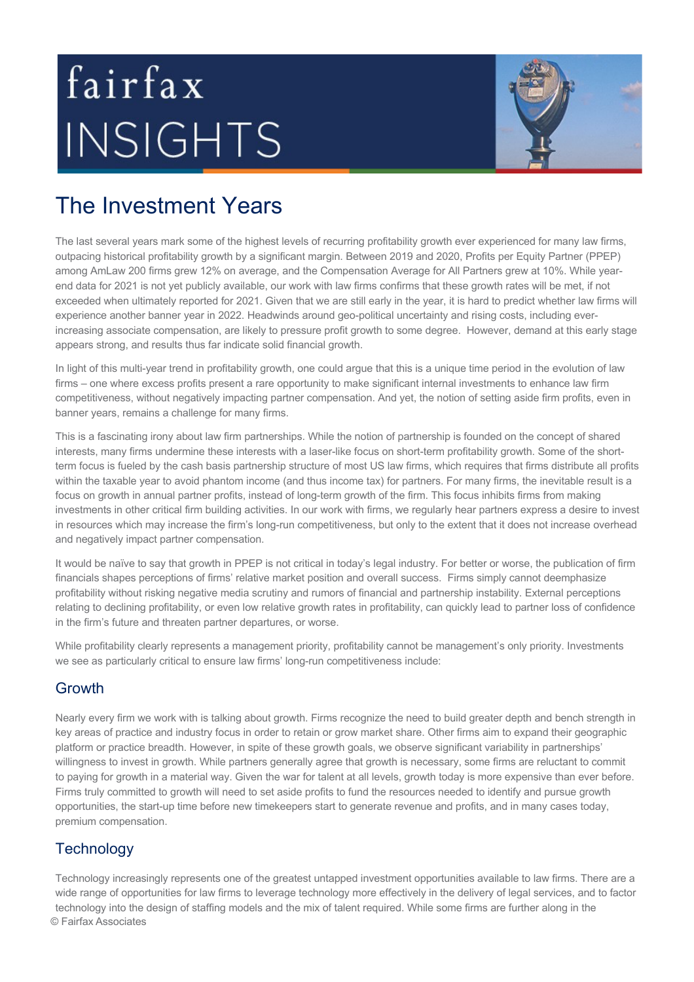# fairfax INSIGHTS



## The Investment Years

The last several years mark some of the highest levels of recurring profitability growth ever experienced for many law firms, outpacing historical profitability growth by a significant margin. Between 2019 and 2020, Profits per Equity Partner (PPEP) among AmLaw 200 firms grew 12% on average, and the Compensation Average for All Partners grew at 10%. While yearend data for 2021 is not yet publicly available, our work with law firms confirms that these growth rates will be met, if not exceeded when ultimately reported for 2021. Given that we are still early in the year, it is hard to predict whether law firms will experience another banner year in 2022. Headwinds around geo-political uncertainty and rising costs, including everincreasing associate compensation, are likely to pressure profit growth to some degree. However, demand at this early stage appears strong, and results thus far indicate solid financial growth.

In light of this multi-year trend in profitability growth, one could argue that this is a unique time period in the evolution of law firms – one where excess profits present a rare opportunity to make significant internal investments to enhance law firm competitiveness, without negatively impacting partner compensation. And yet, the notion of setting aside firm profits, even in banner years, remains a challenge for many firms.

This is a fascinating irony about law firm partnerships. While the notion of partnership is founded on the concept of shared interests, many firms undermine these interests with a laser-like focus on short-term profitability growth. Some of the shortterm focus is fueled by the cash basis partnership structure of most US law firms, which requires that firms distribute all profits within the taxable year to avoid phantom income (and thus income tax) for partners. For many firms, the inevitable result is a focus on growth in annual partner profits, instead of long-term growth of the firm. This focus inhibits firms from making investments in other critical firm building activities. In our work with firms, we regularly hear partners express a desire to invest in resources which may increase the firm's long-run competitiveness, but only to the extent that it does not increase overhead and negatively impact partner compensation.

It would be naïve to say that growth in PPEP is not critical in today's legal industry. For better or worse, the publication of firm financials shapes perceptions of firms' relative market position and overall success. Firms simply cannot deemphasize profitability without risking negative media scrutiny and rumors of financial and partnership instability. External perceptions relating to declining profitability, or even low relative growth rates in profitability, can quickly lead to partner loss of confidence in the firm's future and threaten partner departures, or worse.

While profitability clearly represents a management priority, profitability cannot be management's only priority. Investments we see as particularly critical to ensure law firms' long-run competitiveness include:

### **Growth**

Nearly every firm we work with is talking about growth. Firms recognize the need to build greater depth and bench strength in key areas of practice and industry focus in order to retain or grow market share. Other firms aim to expand their geographic platform or practice breadth. However, in spite of these growth goals, we observe significant variability in partnerships' willingness to invest in growth. While partners generally agree that growth is necessary, some firms are reluctant to commit to paying for growth in a material way. Given the war for talent at all levels, growth today is more expensive than ever before. Firms truly committed to growth will need to set aside profits to fund the resources needed to identify and pursue growth opportunities, the start-up time before new timekeepers start to generate revenue and profits, and in many cases today, premium compensation.

### **Technology**

© Fairfax Associates Technology increasingly represents one of the greatest untapped investment opportunities available to law firms. There are a wide range of opportunities for law firms to leverage technology more effectively in the delivery of legal services, and to factor technology into the design of staffing models and the mix of talent required. While some firms are further along in the